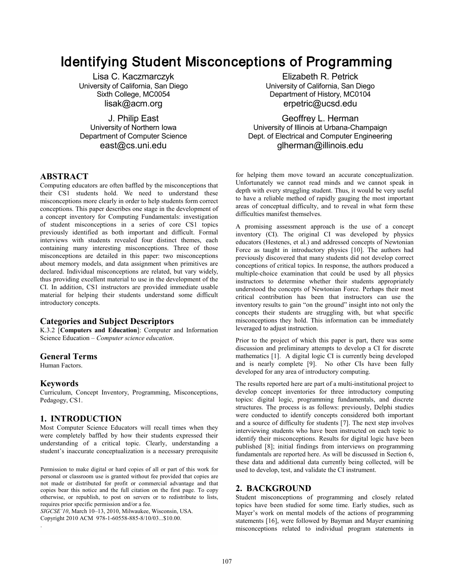# Identifying Student Misconceptions of Programming

University of California, San Diego<br>Sixth College, MC0054

#### **ABSTRACT**

Computing educators are often baffled by the misconceptions that their CS1 students hold. We need to understand these misconceptions more clearly in order to help students form correct conceptions. This paper describes one stage in the development of a concept inventory for Computing Fundamentals: investigation of student misconceptions in a series of core CS1 topics previously identified as both important and difficult. Formal interviews with students revealed four distinct themes, each containing many interesting misconceptions. Three of those misconceptions are detailed in this paper: two misconceptions about memory models, and data assignment when primitives are declared. Individual misconceptions are related, but vary widely, thus providing excellent material to use in the development of the CI. In addition, CS1 instructors are provided immediate usable material for helping their students understand some difficult introductory concepts.

#### **Categories and Subject Descriptors**

K.3.2 [**Computers and Education**]: Computer and Information Science Education – *Computer science education*.

#### **General Terms**

Human Factors.

#### **Keywords**

.

Curriculum, Concept Inventory, Programming, Misconceptions, Pedagogy, CS1.

#### **1. INTRODUCTION**

Most Computer Science Educators will recall times when they were completely baffled by how their students expressed their understanding of a critical topic. Clearly, understanding a student's inaccurate conceptualization is a necessary prerequisite

Permission to make digital or hard copies of all or part of this work for personal or classroom use is granted without fee provided that copies are not made or distributed for profit or commercial advantage and that copies bear this notice and the full citation on the first page. To copy otherwise, or republish, to post on servers or to redistribute to lists, requires prior specific permission and/or a fee.

*SIGCSE'10*, March 10–13, 2010, Milwaukee, Wisconsin, USA. Copyright 2010 ACM 978-1-60558-885-8/10/03...\$10.00.

Lisa C. Kaczmarczyk<br>
Versity of California, San Diego<br>
University of California, San Diego Department of History, MC0104 lisak@acm.org erpetric@ucsd.edu

J. Philip East **J. Philip East** Geoffrey L. Herman<br>University of Northern Iowa **Geoffrey L. Herman** University of Illinois at Urbana-Champaign Department of Computer Science **Dept.** Dept. of Electrical and Computer Engineering east@cs.uni.edu glherman@illinois.edu

> for helping them move toward an accurate conceptualization. Unfortunately we cannot read minds and we cannot speak in depth with every struggling student. Thus, it would be very useful to have a reliable method of rapidly gauging the most important areas of conceptual difficulty, and to reveal in what form these difficulties manifest themselves.

> A promising assessment approach is the use of a concept inventory (CI). The original CI was developed by physics educators (Hestenes, et al.) and addressed concepts of Newtonian Force as taught in introductory physics [10]. The authors had previously discovered that many students did not develop correct conceptions of critical topics. In response, the authors produced a multiple-choice examination that could be used by all physics instructors to determine whether their students appropriately understood the concepts of Newtonian Force. Perhaps their most critical contribution has been that instructors can use the inventory results to gain "on the ground" insight into not only the concepts their students are struggling with, but what specific misconceptions they hold. This information can be immediately leveraged to adjust instruction.

> Prior to the project of which this paper is part, there was some discussion and preliminary attempts to develop a CI for discrete mathematics [1]. A digital logic CI is currently being developed and is nearly complete [9]. No other CIs have been fully developed for any area of introductory computing.

> The results reported here are part of a multi-institutional project to develop concept inventories for three introductory computing topics: digital logic, programming fundamentals, and discrete structures. The process is as follows: previously, Delphi studies were conducted to identify concepts considered both important and a source of difficulty for students [7]. The next step involves interviewing students who have been instructed on each topic to identify their misconceptions. Results for digital logic have been published [8]; initial findings from interviews on programming fundamentals are reported here. As will be discussed in Section 6, these data and additional data currently being collected, will be used to develop, test, and validate the CI instrument.

## **2. BACKGROUND**

Student misconceptions of programming and closely related topics have been studied for some time. Early studies, such as Mayer's work on mental models of the actions of programming statements [16], were followed by Bayman and Mayer examining misconceptions related to individual program statements in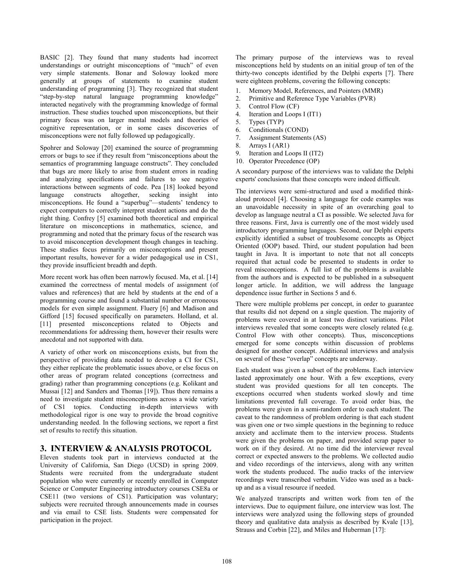BASIC [2]. They found that many students had incorrect understandings or outright misconceptions of "much" of even very simple statements. Bonar and Soloway looked more generally at groups of statements to examine student understanding of programming [3]. They recognized that student "step-by-step natural language programming knowledge" interacted negatively with the programming knowledge of formal instruction. These studies touched upon misconceptions, but their primary focus was on larger mental models and theories of cognitive representation, or in some cases discoveries of misconceptions were not fully followed up pedagogically.

Spohrer and Soloway [20] examined the source of programming errors or bugs to see if they result from "misconceptions about the semantics of programming language constructs". They concluded that bugs are more likely to arise from student errors in reading and analyzing specifications and failures to see negative interactions between segments of code. Pea [18] looked beyond language constructs altogether, seeking insight into misconceptions. He found a "superbug"—students' tendency to expect computers to correctly interpret student actions and do the right thing. Confrey [5] examined both theoretical and empirical literature on misconceptions in mathematics, science, and programming and noted that the primary focus of the research was to avoid misconception development though changes in teaching. These studies focus primarily on misconceptions and present important results, however for a wider pedagogical use in CS1, they provide insufficient breadth and depth.

More recent work has often been narrowly focused. Ma, et al. [14] examined the correctness of mental models of assignment (of values and references) that are held by students at the end of a programming course and found a substantial number or erroneous models for even simple assignment. Fluery [6] and Madison and Gifford [15] focused specifically on parameters. Holland, et al. [11] presented misconceptions related to Objects and recommendations for addressing them, however their results were anecdotal and not supported with data.

A variety of other work on misconceptions exists, but from the perspective of providing data needed to develop a CI for CS1, they either replicate the problematic issues above, or else focus on other areas of program related conceptions (correctness and grading) rather than programming conceptions (e.g. Kolikant and Mussai [12] and Sanders and Thomas [19]). Thus there remains a need to investigate student misconceptions across a wide variety of CS1 topics. Conducting in-depth interviews with methodological rigor is one way to provide the broad cognitive understanding needed. In the following sections, we report a first set of results to rectify this situation.

# **3. INTERVIEW & ANALYSIS PROTOCOL**

Eleven students took part in interviews conducted at the University of California, San Diego (UCSD) in spring 2009. Students were recruited from the undergraduate student population who were currently or recently enrolled in Computer Science or Computer Engineering introductory courses CSE8a or CSE11 (two versions of CS1). Participation was voluntary; subjects were recruited through announcements made in courses and via email to CSE lists. Students were compensated for participation in the project.

The primary purpose of the interviews was to reveal misconceptions held by students on an initial group of ten of the thirty-two concepts identified by the Delphi experts [7]. There were eighteen problems, covering the following concepts:

- 1. Memory Model, References, and Pointers (MMR)
- 2. Primitive and Reference Type Variables (PVR)
- 3. Control Flow (CF)
- 4. Iteration and Loops I (IT1)
- 5. Types (TYP)
- 6. Conditionals (COND)
- 7. Assignment Statements (AS)
- 8. Arrays I (AR1)
- 9. Iteration and Loops II (IT2)
- 10. Operator Precedence (OP)

A secondary purpose of the interviews was to validate the Delphi experts' conclusions that these concepts were indeed difficult.

The interviews were semi-structured and used a modified thinkaloud protocol [4]. Choosing a language for code examples was an unavoidable necessity in spite of an overarching goal to develop as language neutral a CI as possible. We selected Java for three reasons. First, Java is currently one of the most widely used introductory programming languages. Second, our Delphi experts explicitly identified a subset of troublesome concepts as Object Oriented (OOP) based. Third, our student population had been taught in Java. It is important to note that not all concepts required that actual code be presented to students in order to reveal misconceptions. A full list of the problems is available from the authors and is expected to be published in a subsequent longer article. In addition, we will address the language dependence issue further in Sections 5 and 6.

There were multiple problems per concept, in order to guarantee that results did not depend on a single question. The majority of problems were covered in at least two distinct variations. Pilot interviews revealed that some concepts were closely related (e.g. Control Flow with other concepts). Thus, misconceptions emerged for some concepts within discussion of problems designed for another concept. Additional interviews and analysis on several of these "overlap" concepts are underway.

Each student was given a subset of the problems. Each interview lasted approximately one hour. With a few exceptions, every student was provided questions for all ten concepts. The exceptions occurred when students worked slowly and time limitations prevented full coverage. To avoid order bias, the problems were given in a semi-random order to each student. The caveat to the randomness of problem ordering is that each student was given one or two simple questions in the beginning to reduce anxiety and acclimate them to the interview process. Students were given the problems on paper, and provided scrap paper to work on if they desired. At no time did the interviewer reveal correct or expected answers to the problems. We collected audio and video recordings of the interviews, along with any written work the students produced. The audio tracks of the interview recordings were transcribed verbatim. Video was used as a backup and as a visual resource if needed.

We analyzed transcripts and written work from ten of the interviews. Due to equipment failure, one interview was lost. The interviews were analyzed using the following steps of grounded theory and qualitative data analysis as described by Kvale [13], Strauss and Corbin [22], and Miles and Huberman [17]: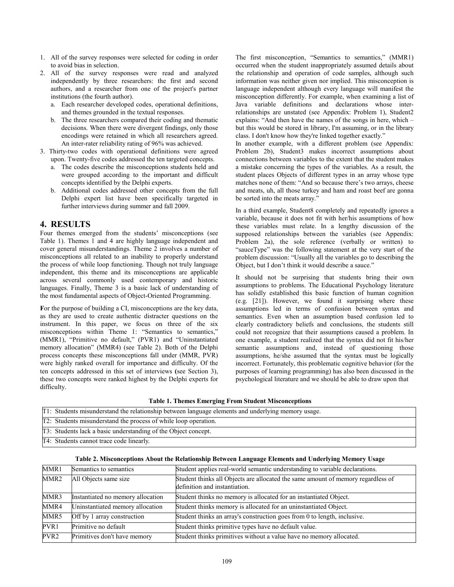- 1. All of the survey responses were selected for coding in order to avoid bias in selection.
- 2. All of the survey responses were read and analyzed independently by three researchers: the first and second authors, and a researcher from one of the project's partner institutions (the fourth author).
	- a. Each researcher developed codes, operational definitions, and themes grounded in the textual responses.
	- b. The three researchers compared their coding and thematic decisions. When there were divergent findings, only those encodings were retained in which all researchers agreed. An inter-rater reliability rating of 96% was achieved.
- 3. Thirty-two codes with operational definitions were agreed upon. Twenty-five codes addressed the ten targeted concepts.
	- a. The codes describe the misconceptions students held and were grouped according to the important and difficult concepts identified by the Delphi experts.
	- b. Additional codes addressed other concepts from the full Delphi expert list have been specifically targeted in further interviews during summer and fall 2009.

# **4. RESULTS**

Four themes emerged from the students' misconceptions (see Table 1). Themes 1 and 4 are highly language independent and cover general misunderstandings. Theme 2 involves a number of misconceptions all related to an inability to properly understand the process of while loop functioning. Though not truly language independent, this theme and its misconceptions are applicable across several commonly used contemporary and historic languages. Finally, Theme 3 is a basic lack of understanding of the most fundamental aspects of Object-Oriented Programming.

**F**or the purpose of building a CI, misconceptions are the key data, as they are used to create authentic distracter questions on the instrument. In this paper, we focus on three of the six misconceptions within Theme 1: "Semantics to semantics," (MMR1), "Primitive no default," (PVR1) and "Uninstantiated memory allocation" (MMR4) (see Table 2). Both of the Delphi process concepts these misconceptions fall under (MMR, PVR) were highly ranked overall for importance and difficulty. Of the ten concepts addressed in this set of interviews **(**see Section 3), these two concepts were ranked highest by the Delphi experts for difficulty.

The first misconception, "Semantics to semantics," (MMR1) occurred when the student inappropriately assumed details about the relationship and operation of code samples, although such information was neither given nor implied. This misconception is language independent although every language will manifest the misconception differently. For example, when examining a list of Java variable definitions and declarations whose interrelationships are unstated (see Appendix: Problem 1), Student2 explains: "And then have the names of the songs in here, which – but this would be stored in library, I'm assuming, or in the library class. I don't know how they're linked together exactly."

In another example, with a different problem (see Appendix: Problem 2b), Student3 makes incorrect assumptions about connections between variables to the extent that the student makes a mistake concerning the types of the variables. As a result, the student places Objects of different types in an array whose type matches none of them: "And so because there's two arrays, cheese and meats, uh, all those turkey and ham and roast beef are gonna be sorted into the meats array."

In a third example, Student8 completely and repeatedly ignores a variable, because it does not fit with her/his assumptions of how these variables must relate. In a lengthy discussion of the supposed relationships between the variables (see Appendix: Problem 2a), the sole reference (verbally or written) to "sauceType" was the following statement at the very start of the problem discussion: "Usually all the variables go to describing the Object, but I don't think it would describe a sauce."

It should not be surprising that students bring their own assumptions to problems. The Educational Psychology literature has solidly established this basic function of human cognition (e.g. [21]). However, we found it surprising where these assumptions led in terms of confusion between syntax and semantics. Even when an assumption based confusion led to clearly contradictory beliefs and conclusions, the students still could not recognize that their assumptions caused a problem. In one example, a student realized that the syntax did not fit his/her semantic assumptions and, instead of questioning those assumptions, he/she assumed that the syntax must be logically incorrect. Fortunately, this problematic cognitive behavior (for the purposes of learning programming) has also been discussed in the psychological literature and we should be able to draw upon that

|  |  |  |  |  | <b>Table 1. Themes Emerging From Student Misconceptions</b> |
|--|--|--|--|--|-------------------------------------------------------------|
|--|--|--|--|--|-------------------------------------------------------------|

| [T1: Students misunderstand the relationship between language elements and underlying memory usage. |  |  |  |
|-----------------------------------------------------------------------------------------------------|--|--|--|
| T2: Students misunderstand the process of while loop operation.                                     |  |  |  |
| [T3: Students lack a basic understanding of the Object concept.]                                    |  |  |  |
| T4: Students cannot trace code linearly.                                                            |  |  |  |

| MMR1             | Semantics to semantics            | Student applies real-world semantic understanding to variable declarations.                                       |
|------------------|-----------------------------------|-------------------------------------------------------------------------------------------------------------------|
| MMR2             | All Objects same size             | Student thinks all Objects are allocated the same amount of memory regardless of<br>definition and instantiation. |
| MMR3             | Instantiated no memory allocation | Student thinks no memory is allocated for an instantiated Object.                                                 |
| MMR4             | Uninstantiated memory allocation  | Student thinks memory is allocated for an uninstantiated Object.                                                  |
| MMR5             | Off by 1 array construction       | Student thinks an array's construction goes from 0 to length, inclusive.                                          |
| PVR1             | Primitive no default              | Student thinks primitive types have no default value.                                                             |
| PVR <sub>2</sub> | Primitives don't have memory      | Student thinks primitives without a value have no memory allocated.                                               |

**Table 2. Misconceptions About the Relationship Between Language Elements and Underlying Memory Usage**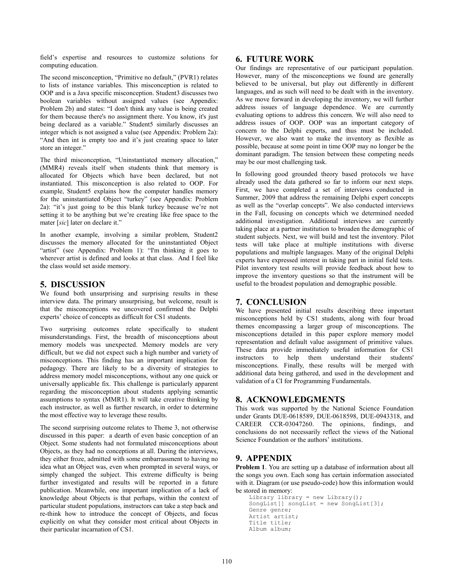field's expertise and resources to customize solutions for computing education.

The second misconception, "Primitive no default," (PVR1) relates to lists of instance variables. This misconception is related to OOP and is a Java specific misconception. Student3 discusses two boolean variables without assigned values (see Appendix: Problem 2b) and states: "I don't think any value is being created for them because there's no assignment there. You know, it's just being declared as a variable." Student5 similarly discusses an integer which is not assigned a value (see Appendix: Problem 2a): "And then int is empty too and it's just creating space to later store an integer."

The third misconception, "Uninstantiated memory allocation," (MMR4) reveals itself when students think that memory is allocated for Objects which have been declared, but not instantiated. This misconception is also related to OOP. For example, Student5 explains how the computer handles memory for the uninstantiated Object "turkey" (see Appendix: Problem 2a): "it's just going to be this blank turkey because we're not setting it to be anything but we're creating like free space to the mater [*sic*] later on declare it."

In another example, involving a similar problem, Student2 discusses the memory allocated for the uninstantiated Object "artist" (see Appendix: Problem 1): "I'm thinking it goes to wherever artist is defined and looks at that class. And I feel like the class would set aside memory.

## **5. DISCUSSION**

We found both unsurprising and surprising results in these interview data. The primary unsurprising, but welcome, result is that the misconceptions we uncovered confirmed the Delphi experts' choice of concepts as difficult for CS1 students.

Two surprising outcomes relate specifically to student misunderstandings. First, the breadth of misconceptions about memory models was unexpected. Memory models are very difficult, but we did not expect such a high number and variety of misconceptions. This finding has an important implication for pedagogy. There are likely to be a diversity of strategies to address memory model misconceptions, without any one quick or universally applicable fix. This challenge is particularly apparent regarding the misconception about students applying semantic assumptions to syntax (MMR1). It will take creative thinking by each instructor, as well as further research, in order to determine the most effective way to leverage these results.

The second surprising outcome relates to Theme 3, not otherwise discussed in this paper: a dearth of even basic conception of an Object. Some students had not formulated misconceptions about Objects, as they had no conceptions at all. During the interviews, they either froze, admitted with some embarrassment to having no idea what an Object was, even when prompted in several ways, or simply changed the subject. This extreme difficulty is being further investigated and results will be reported in a future publication. Meanwhile, one important implication of a lack of knowledge about Objects is that perhaps, within the context of particular student populations, instructors can take a step back and re-think how to introduce the concept of Objects, and focus explicitly on what they consider most critical about Objects in their particular incarnation of CS1.

## **6. FUTURE WORK**

Our findings are representative of our participant population. However, many of the misconceptions we found are generally believed to be universal, but play out differently in different languages, and as such will need to be dealt with in the inventory. As we move forward in developing the inventory, we will further address issues of language dependence. We are currently evaluating options to address this concern. We will also need to address issues of OOP. OOP was an important category of concern to the Delphi experts, and thus must be included. However, we also want to make the inventory as flexible as possible, because at some point in time OOP may no longer be the dominant paradigm. The tension between these competing needs may be our most challenging task.

In following good grounded theory based protocols we have already used the data gathered so far to inform our next steps. First, we have completed a set of interviews conducted in Summer, 2009 that address the remaining Delphi expert concepts as well as the "overlap concepts". We also conducted interviews in the Fall, focusing on concepts which we determined needed additional investigation. Additional interviews are currently taking place at a partner institution to broaden the demographic of student subjects. Next, we will build and test the inventory. Pilot tests will take place at multiple institutions with diverse populations and multiple languages. Many of the original Delphi experts have expressed interest in taking part in initial field tests. Pilot inventory test results will provide feedback about how to improve the inventory questions so that the instrument will be useful to the broadest population and demographic possible.

# **7. CONCLUSION**

We have presented initial results describing three important misconceptions held by CS1 students, along with four broad themes encompassing a larger group of misconceptions. The misconceptions detailed in this paper explore memory model representation and default value assignment of primitive values. These data provide immediately useful information for CS1 instructors to help them understand their students' misconceptions. Finally, these results will be merged with additional data being gathered, and used in the development and validation of a CI for Programming Fundamentals.

# **8. ACKNOWLEDGMENTS**

This work was supported by the National Science Foundation under Grants DUE-0618589, DUE-0618598, DUE-0943318, and CAREER CCR-03047260. The opinions, findings, and conclusions do not necessarily reflect the views of the National Science Foundation or the authors' institutions.

# **9. APPENDIX**

**Problem 1**. You are setting up a database of information about all the songs you own. Each song has certain information associated with it. Diagram (or use pseudo-code) how this information would be stored in memory:

```
Library library = new Library();
SongList [ songList = new SongList [3];
Genre genre;
Artist artist;
Title title;
Album album;
```